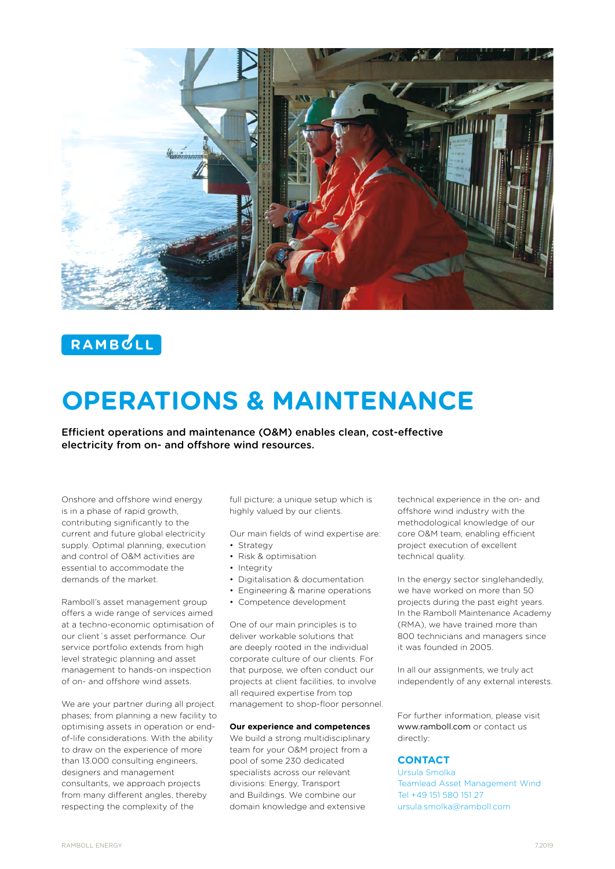

# RAMBULL

# **OPERATIONS & MAINTENANCE**

Efficient operations and maintenance (O&M) enables clean, cost-effective electricity from on- and offshore wind resources.

Onshore and offshore wind energy is in a phase of rapid growth, contributing significantly to the current and future global electricity supply. Optimal planning, execution and control of O&M activities are essential to accommodate the demands of the market.

Ramboll's asset management group offers a wide range of services aimed at a techno-economic optimisation of our client´s asset performance. Our service portfolio extends from high level strategic planning and asset management to hands-on inspection of on- and offshore wind assets.

We are your partner during all project phases; from planning a new facility to optimising assets in operation or endof-life considerations. With the ability to draw on the experience of more than 13.000 consulting engineers, designers and management consultants, we approach projects from many different angles, thereby respecting the complexity of the

full picture; a unique setup which is highly valued by our clients.

Our main fields of wind expertise are: • Strategy

- Risk & optimisation
- Integrity
- Digitalisation & documentation
- Engineering & marine operations
- Competence development

One of our main principles is to deliver workable solutions that are deeply rooted in the individual corporate culture of our clients. For that purpose, we often conduct our projects at client facilities, to involve all required expertise from top management to shop-floor personnel.

# **Our experience and competences**

We build a strong multidisciplinary team for your O&M project from a pool of some 230 dedicated specialists across our relevant divisions: Energy, Transport and Buildings. We combine our domain knowledge and extensive

technical experience in the on- and offshore wind industry with the methodological knowledge of our core O&M team, enabling efficient project execution of excellent technical quality.

In the energy sector singlehandedly, we have worked on more than 50 projects during the past eight years. In the Ramboll Maintenance Academy (RMA), we have trained more than 800 technicians and managers since it was founded in 2005.

In all our assignments, we truly act independently of any external interests.

For further information, please visit www.ramboll.com or contact us directly:

# **CONTACT**

Ursula Smolka Teamlead Asset Management Wind Tel +49 151 580 151 27 ursula.smolka@ramboll.com